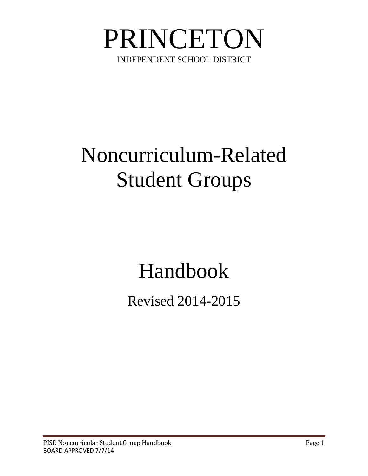

# Noncurriculum-Related Student Groups

# Handbook

Revised 2014-2015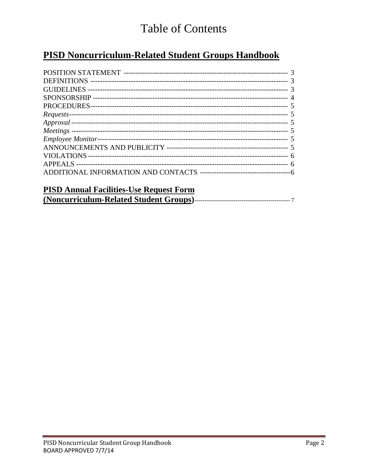# **Table of Contents**

# **PISD Noncurriculum-Related Student Groups Handbook**

| <b>PISD Annual Facilities. He Request Form</b> |  |
|------------------------------------------------|--|

| T 15D AMMAI F achities-Ose Request Form |  |
|-----------------------------------------|--|
|                                         |  |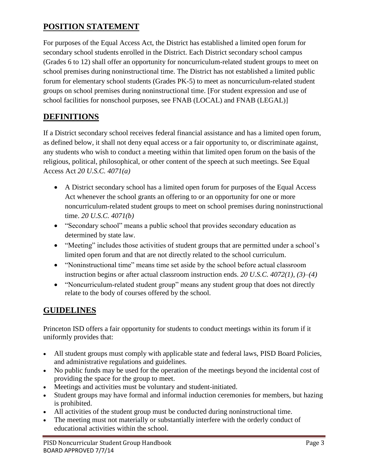# **POSITION STATEMENT**

For purposes of the Equal Access Act, the District has established a limited open forum for secondary school students enrolled in the District. Each District secondary school campus (Grades 6 to 12) shall offer an opportunity for noncurriculum-related student groups to meet on school premises during noninstructional time. The District has not established a limited public forum for elementary school students (Grades PK-5) to meet as noncurriculum-related student groups on school premises during noninstructional time. [For student expression and use of school facilities for nonschool purposes, see FNAB (LOCAL) and FNAB (LEGAL)]

## **DEFINITIONS**

If a District secondary school receives federal financial assistance and has a limited open forum, as defined below, it shall not deny equal access or a fair opportunity to, or discriminate against, any students who wish to conduct a meeting within that limited open forum on the basis of the religious, political, philosophical, or other content of the speech at such meetings. See Equal Access Act *20 U.S.C. 4071(a)* 

- A District secondary school has a limited open forum for purposes of the Equal Access Act whenever the school grants an offering to or an opportunity for one or more noncurriculum-related student groups to meet on school premises during noninstructional time. *20 U.S.C. 4071(b)*
- "Secondary school" means a public school that provides secondary education as determined by state law.
- "Meeting" includes those activities of student groups that are permitted under a school's limited open forum and that are not directly related to the school curriculum.
- "Noninstructional time" means time set aside by the school before actual classroom instruction begins or after actual classroom instruction ends. *20 U.S.C. 4072(1), (3)–(4)*
- "Noncurriculum-related student group" means any student group that does not directly relate to the body of courses offered by the school.

# **GUIDELINES**

Princeton ISD offers a fair opportunity for students to conduct meetings within its forum if it uniformly provides that:

- All student groups must comply with applicable state and federal laws, PISD Board Policies, and administrative regulations and guidelines.
- No public funds may be used for the operation of the meetings beyond the incidental cost of providing the space for the group to meet.
- Meetings and activities must be voluntary and student-initiated.
- Student groups may have formal and informal induction ceremonies for members, but hazing is prohibited.
- All activities of the student group must be conducted during noninstructional time.
- The meeting must not materially or substantially interfere with the orderly conduct of educational activities within the school.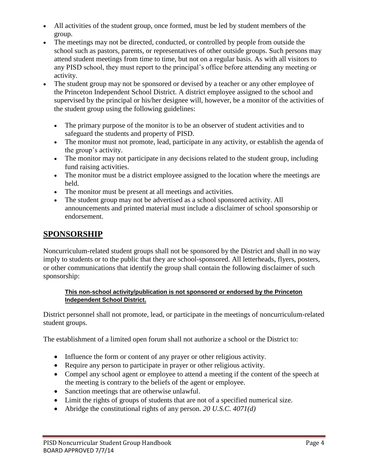- All activities of the student group, once formed, must be led by student members of the group.
- The meetings may not be directed, conducted, or controlled by people from outside the school such as pastors, parents, or representatives of other outside groups. Such persons may attend student meetings from time to time, but not on a regular basis. As with all visitors to any PISD school, they must report to the principal's office before attending any meeting or activity.
- The student group may not be sponsored or devised by a teacher or any other employee of the Princeton Independent School District. A district employee assigned to the school and supervised by the principal or his/her designee will, however, be a monitor of the activities of the student group using the following guidelines:
	- The primary purpose of the monitor is to be an observer of student activities and to safeguard the students and property of PISD.
	- The monitor must not promote, lead, participate in any activity, or establish the agenda of the group's activity.
	- The monitor may not participate in any decisions related to the student group, including fund raising activities.
	- The monitor must be a district employee assigned to the location where the meetings are held.
	- The monitor must be present at all meetings and activities.
	- The student group may not be advertised as a school sponsored activity. All announcements and printed material must include a disclaimer of school sponsorship or endorsement.

# **SPONSORSHIP**

Noncurriculum-related student groups shall not be sponsored by the District and shall in no way imply to students or to the public that they are school-sponsored. All letterheads, flyers, posters, or other communications that identify the group shall contain the following disclaimer of such sponsorship:

#### **This non-school activity/publication is not sponsored or endorsed by the Princeton Independent School District.**

District personnel shall not promote, lead, or participate in the meetings of noncurriculum-related student groups.

The establishment of a limited open forum shall not authorize a school or the District to:

- Influence the form or content of any prayer or other religious activity.
- Require any person to participate in prayer or other religious activity.
- Compel any school agent or employee to attend a meeting if the content of the speech at the meeting is contrary to the beliefs of the agent or employee.
- Sanction meetings that are otherwise unlawful.
- Limit the rights of groups of students that are not of a specified numerical size.
- Abridge the constitutional rights of any person. *20 U.S.C. 4071(d)*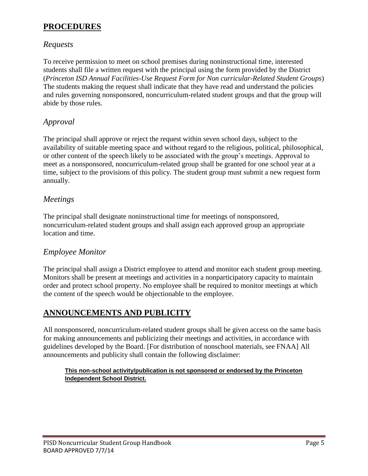#### **PROCEDURES**

#### *Requests*

To receive permission to meet on school premises during noninstructional time, interested students shall file a written request with the principal using the form provided by the District (*Princeton ISD Annual Facilities-Use Request Form for Non curricular-Related Student Groups*) The students making the request shall indicate that they have read and understand the policies and rules governing nonsponsored, noncurriculum-related student groups and that the group will abide by those rules.

#### *Approval*

The principal shall approve or reject the request within seven school days, subject to the availability of suitable meeting space and without regard to the religious, political, philosophical, or other content of the speech likely to be associated with the group's meetings. Approval to meet as a nonsponsored, noncurriculum-related group shall be granted for one school year at a time, subject to the provisions of this policy. The student group must submit a new request form annually.

#### *Meetings*

The principal shall designate noninstructional time for meetings of nonsponsored, noncurriculum-related student groups and shall assign each approved group an appropriate location and time.

#### *Employee Monitor*

The principal shall assign a District employee to attend and monitor each student group meeting. Monitors shall be present at meetings and activities in a nonparticipatory capacity to maintain order and protect school property. No employee shall be required to monitor meetings at which the content of the speech would be objectionable to the employee.

#### **ANNOUNCEMENTS AND PUBLICITY**

All nonsponsored, noncurriculum-related student groups shall be given access on the same basis for making announcements and publicizing their meetings and activities, in accordance with guidelines developed by the Board. [For distribution of nonschool materials, see FNAA] All announcements and publicity shall contain the following disclaimer:

#### **This non-school activity/publication is not sponsored or endorsed by the Princeton Independent School District.**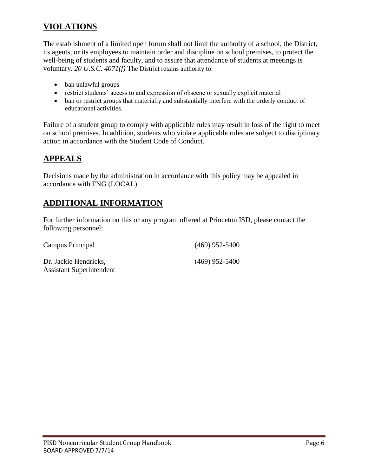### **VIOLATIONS**

The establishment of a limited open forum shall not limit the authority of a school, the District, its agents, or its employees to maintain order and discipline on school premises, to protect the well-being of students and faculty, and to assure that attendance of students at meetings is voluntary. *20 U.S.C. 4071(f)* The District retains authority to:

- ban unlawful groups
- restrict students' access to and expression of obscene or sexually explicit material
- ban or restrict groups that materially and substantially interfere with the orderly conduct of educational activities.

Failure of a student group to comply with applicable rules may result in loss of the right to meet on school premises. In addition, students who violate applicable rules are subject to disciplinary action in accordance with the Student Code of Conduct.

### **APPEALS**

Decisions made by the administration in accordance with this policy may be appealed in accordance with FNG (LOCAL).

### **ADDITIONAL INFORMATION**

For further information on this or any program offered at Princeton ISD, please contact the following personnel:

| Campus Principal                                         | $(469)$ 952-5400 |
|----------------------------------------------------------|------------------|
| Dr. Jackie Hendricks,<br><b>Assistant Superintendent</b> | $(469)$ 952-5400 |